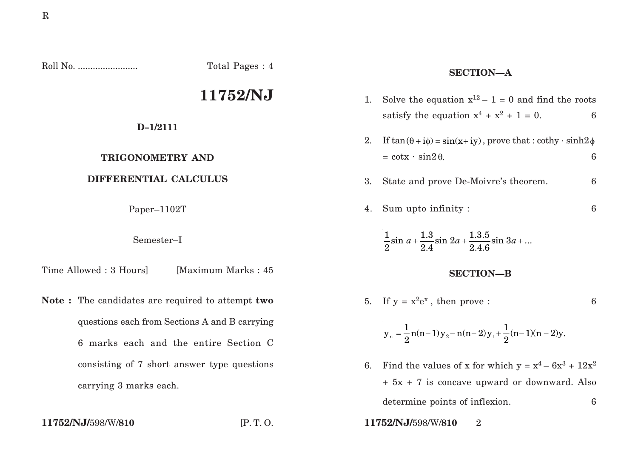Roll No. ........................ Total Pages : 4

# **11752/NJ**

# **D–1/2111**

# **TRIGONOMETRY AND**

## **DIFFERENTIAL CALCULUS**

Paper–1102T

### Semester–I

Time Allowed : 3 Hours | Maximum Marks : 45

**Note :** The candidates are required to attempt **two** questions each from Sections A and B carrying 6 marks each and the entire Section C consisting of 7 short answer type questions carrying 3 marks each.

## **SECTION—A**

| 1.               | Solve the equation $x^{12} - 1 = 0$ and find the roots                       |                  |
|------------------|------------------------------------------------------------------------------|------------------|
|                  | satisfy the equation $x^4 + x^2 + 1 = 0$ .                                   | 6                |
| 2.               | If $tan(\theta + i\phi) = sin(x + iy)$ , prove that : cothy · sinh2 $\phi$   |                  |
|                  | $= \cot x \cdot \sin 2\theta$ .                                              | 6                |
| 3.               | State and prove De-Moivre's theorem.                                         | $\boldsymbol{6}$ |
| 4.               | Sum upto infinity :                                                          | $\boldsymbol{6}$ |
|                  | $\frac{1}{2}\sin a + \frac{1.3}{2.4}\sin 2a + \frac{1.3.5}{2.4.6}\sin 3a + $ |                  |
| <b>SECTION-B</b> |                                                                              |                  |
| 5.               | If $y = x^2 e^x$ , then prove :                                              | 6                |
|                  | $y_n = \frac{1}{2}n(n-1)y_2 - n(n-2)y_1 + \frac{1}{2}(n-1)(n-2)y$ .          |                  |
| 6.               | Find the values of x for which $y = x^4 - 6x^3 + 12x^2$                      |                  |
|                  | $+ 5x + 7$ is concave upward or downward. Also                               |                  |

determine points of inflexion. 6

**11752/NJ/**598/W/**810** [P. T. O. **11752/NJ/**598/W/**810** 2